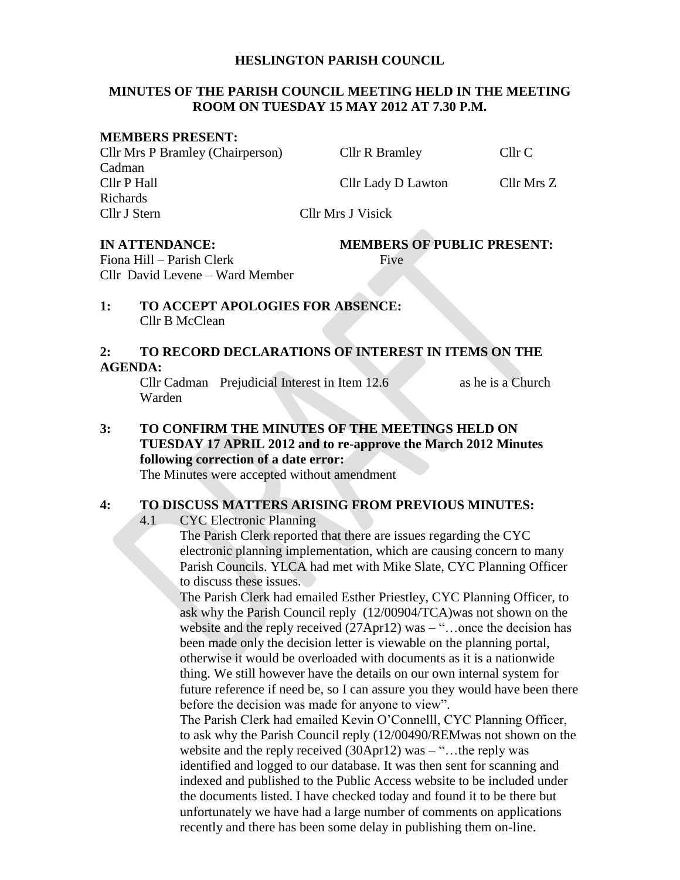#### **HESLINGTON PARISH COUNCIL**

#### **MINUTES OF THE PARISH COUNCIL MEETING HELD IN THE MEETING ROOM ON TUESDAY 15 MAY 2012 AT 7.30 P.M.**

#### **MEMBERS PRESENT:**

Cllr Mrs P Bramley (Chairperson) Cllr R Bramley Cllr C Cadman Cllr P Hall Cllr Lady D Lawton Cllr Mrs Z Richards Cllr J Stern Cllr Mrs J Visick

# **IN ATTENDANCE: MEMBERS OF PUBLIC PRESENT:**

Fiona Hill – Parish Clerk Five Cllr David Levene – Ward Member

#### **1: TO ACCEPT APOLOGIES FOR ABSENCE:** Cllr B McClean

#### **2: TO RECORD DECLARATIONS OF INTEREST IN ITEMS ON THE AGENDA:**

Cllr Cadman Prejudicial Interest in Item 12.6 as he is a Church Warden

**3: TO CONFIRM THE MINUTES OF THE MEETINGS HELD ON TUESDAY 17 APRIL 2012 and to re-approve the March 2012 Minutes following correction of a date error:**

The Minutes were accepted without amendment

#### **4: TO DISCUSS MATTERS ARISING FROM PREVIOUS MINUTES:**

4.1 CYC Electronic Planning

The Parish Clerk reported that there are issues regarding the CYC electronic planning implementation, which are causing concern to many Parish Councils. YLCA had met with Mike Slate, CYC Planning Officer to discuss these issues.

The Parish Clerk had emailed Esther Priestley, CYC Planning Officer, to ask why the Parish Council reply (12/00904/TCA)was not shown on the website and the reply received (27Apr12) was – "...once the decision has been made only the decision letter is viewable on the planning portal, otherwise it would be overloaded with documents as it is a nationwide thing. We still however have the details on our own internal system for future reference if need be, so I can assure you they would have been there before the decision was made for anyone to view".

The Parish Clerk had emailed Kevin O'Connelll, CYC Planning Officer, to ask why the Parish Council reply (12/00490/REMwas not shown on the website and the reply received (30Apr12) was – "...the reply was identified and logged to our database. It was then sent for scanning and indexed and published to the Public Access website to be included under the documents listed. I have checked today and found it to be there but unfortunately we have had a large number of comments on applications recently and there has been some delay in publishing them on-line.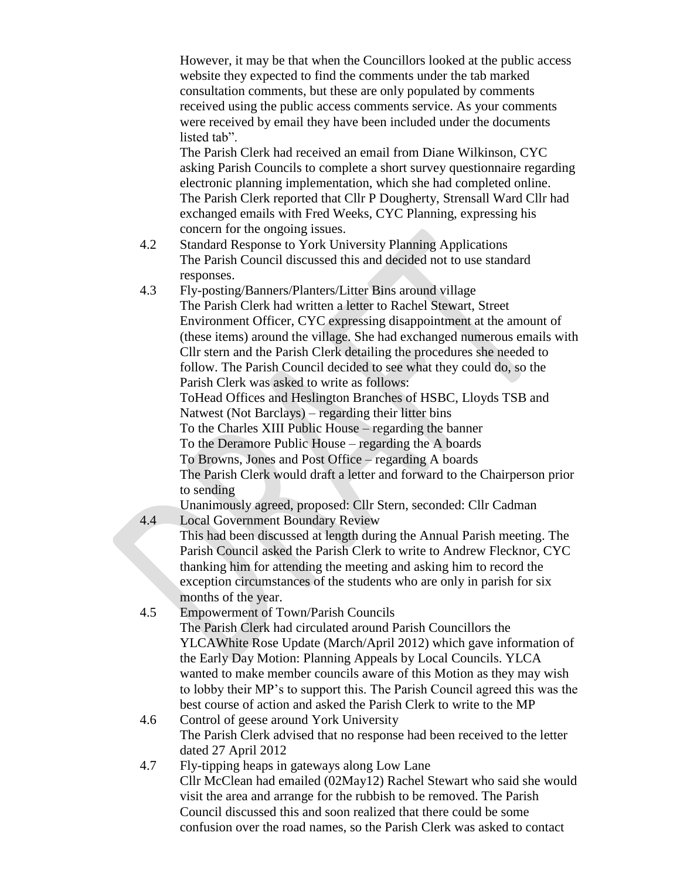However, it may be that when the Councillors looked at the public access website they expected to find the comments under the tab marked consultation comments, but these are only populated by comments received using the public access comments service. As your comments were received by email they have been included under the documents listed tab".

The Parish Clerk had received an email from Diane Wilkinson, CYC asking Parish Councils to complete a short survey questionnaire regarding electronic planning implementation, which she had completed online. The Parish Clerk reported that Cllr P Dougherty, Strensall Ward Cllr had exchanged emails with Fred Weeks, CYC Planning, expressing his concern for the ongoing issues.

- 4.2 Standard Response to York University Planning Applications The Parish Council discussed this and decided not to use standard responses.
- 4.3 Fly-posting/Banners/Planters/Litter Bins around village The Parish Clerk had written a letter to Rachel Stewart, Street Environment Officer, CYC expressing disappointment at the amount of (these items) around the village. She had exchanged numerous emails with Cllr stern and the Parish Clerk detailing the procedures she needed to follow. The Parish Council decided to see what they could do, so the Parish Clerk was asked to write as follows:

ToHead Offices and Heslington Branches of HSBC, Lloyds TSB and Natwest (Not Barclays) – regarding their litter bins

To the Charles XIII Public House – regarding the banner

To the Deramore Public House – regarding the A boards

To Browns, Jones and Post Office – regarding A boards

The Parish Clerk would draft a letter and forward to the Chairperson prior to sending

Unanimously agreed, proposed: Cllr Stern, seconded: Cllr Cadman

- 4.4 Local Government Boundary Review This had been discussed at length during the Annual Parish meeting. The Parish Council asked the Parish Clerk to write to Andrew Flecknor, CYC thanking him for attending the meeting and asking him to record the exception circumstances of the students who are only in parish for six months of the year.
- 4.5 Empowerment of Town/Parish Councils The Parish Clerk had circulated around Parish Councillors the YLCAWhite Rose Update (March/April 2012) which gave information of the Early Day Motion: Planning Appeals by Local Councils. YLCA wanted to make member councils aware of this Motion as they may wish to lobby their MP's to support this. The Parish Council agreed this was the best course of action and asked the Parish Clerk to write to the MP
- 4.6 Control of geese around York University The Parish Clerk advised that no response had been received to the letter dated 27 April 2012
- 4.7 Fly-tipping heaps in gateways along Low Lane Cllr McClean had emailed (02May12) Rachel Stewart who said she would visit the area and arrange for the rubbish to be removed. The Parish Council discussed this and soon realized that there could be some confusion over the road names, so the Parish Clerk was asked to contact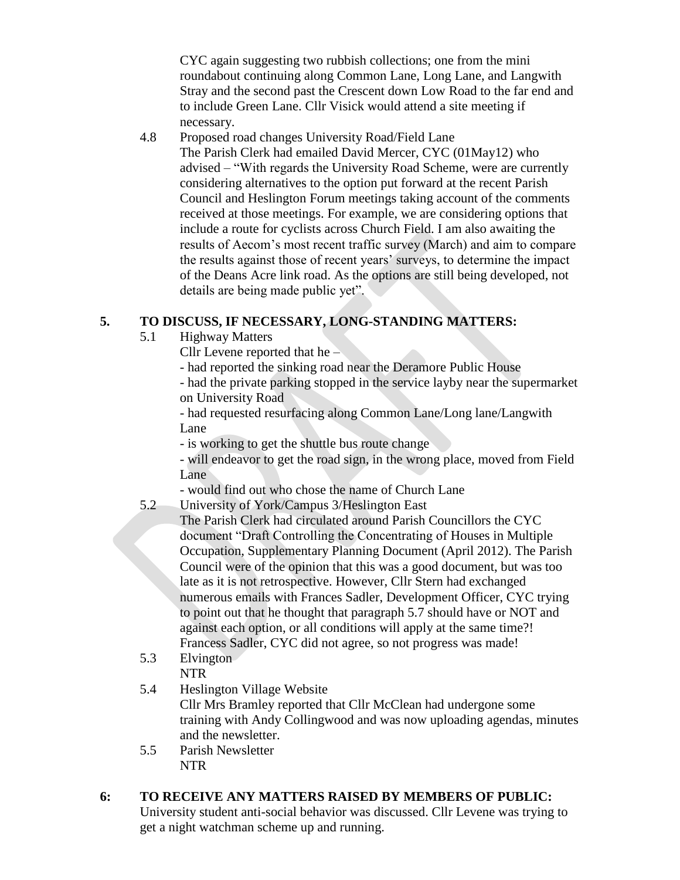CYC again suggesting two rubbish collections; one from the mini roundabout continuing along Common Lane, Long Lane, and Langwith Stray and the second past the Crescent down Low Road to the far end and to include Green Lane. Cllr Visick would attend a site meeting if necessary.

4.8 Proposed road changes University Road/Field Lane The Parish Clerk had emailed David Mercer, CYC (01May12) who advised – "With regards the University Road Scheme, were are currently considering alternatives to the option put forward at the recent Parish Council and Heslington Forum meetings taking account of the comments received at those meetings. For example, we are considering options that include a route for cyclists across Church Field. I am also awaiting the results of Aecom's most recent traffic survey (March) and aim to compare the results against those of recent years' surveys, to determine the impact of the Deans Acre link road. As the options are still being developed, not details are being made public yet".

#### **5. TO DISCUSS, IF NECESSARY, LONG-STANDING MATTERS:**

- 5.1 Highway Matters
	- Cllr Levene reported that he –
	- had reported the sinking road near the Deramore Public House

- had the private parking stopped in the service layby near the supermarket on University Road

- had requested resurfacing along Common Lane/Long lane/Langwith Lane

- is working to get the shuttle bus route change

- will endeavor to get the road sign, in the wrong place, moved from Field Lane

- would find out who chose the name of Church Lane

## 5.2 University of York/Campus 3/Heslington East

- The Parish Clerk had circulated around Parish Councillors the CYC document "Draft Controlling the Concentrating of Houses in Multiple Occupation, Supplementary Planning Document (April 2012). The Parish Council were of the opinion that this was a good document, but was too late as it is not retrospective. However, Cllr Stern had exchanged numerous emails with Frances Sadler, Development Officer, CYC trying to point out that he thought that paragraph 5.7 should have or NOT and against each option, or all conditions will apply at the same time?! Francess Sadler, CYC did not agree, so not progress was made!
- 5.3 Elvington

#### NTR

5.4 Heslington Village Website

Cllr Mrs Bramley reported that Cllr McClean had undergone some training with Andy Collingwood and was now uploading agendas, minutes and the newsletter.

5.5 Parish Newsletter NTR

### **6: TO RECEIVE ANY MATTERS RAISED BY MEMBERS OF PUBLIC:**

University student anti-social behavior was discussed. Cllr Levene was trying to get a night watchman scheme up and running.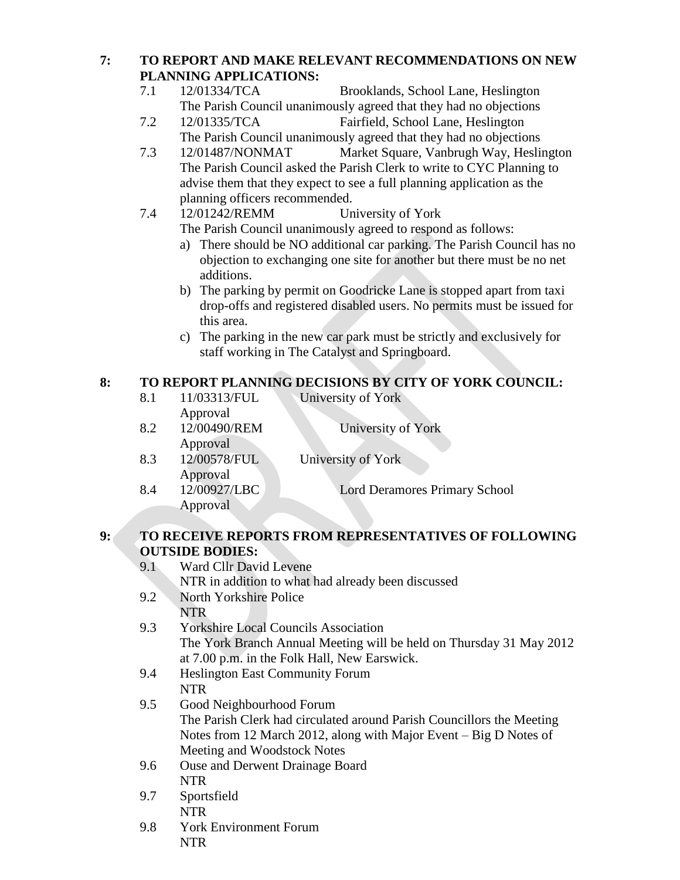# **7: TO REPORT AND MAKE RELEVANT RECOMMENDATIONS ON NEW PLANNING APPLICATIONS:**

- 7.1 12/01334/TCA Brooklands, School Lane, Heslington The Parish Council unanimously agreed that they had no objections
- 7.2 12/01335/TCA Fairfield, School Lane, Heslington The Parish Council unanimously agreed that they had no objections
- 7.3 12/01487/NONMAT Market Square, Vanbrugh Way, Heslington The Parish Council asked the Parish Clerk to write to CYC Planning to advise them that they expect to see a full planning application as the planning officers recommended.
- 7.4 12/01242/REMM University of York The Parish Council unanimously agreed to respond as follows:
	- a) There should be NO additional car parking. The Parish Council has no objection to exchanging one site for another but there must be no net additions.
	- b) The parking by permit on Goodricke Lane is stopped apart from taxi drop-offs and registered disabled users. No permits must be issued for this area.
	- c) The parking in the new car park must be strictly and exclusively for staff working in The Catalyst and Springboard.

# **8: TO REPORT PLANNING DECISIONS BY CITY OF YORK COUNCIL:**

8.1 11/03313/FUL University of York Approval 8.2 12/00490/REM University of York Approval 8.3 12/00578/FUL University of York Approval 8.4 12/00927/LBC Lord Deramores Primary School Approval

# **9: TO RECEIVE REPORTS FROM REPRESENTATIVES OF FOLLOWING OUTSIDE BODIES:**

| 9.1 | Ward Cllr David Levene                                                |
|-----|-----------------------------------------------------------------------|
|     | NTR in addition to what had already been discussed                    |
| 9.2 | North Yorkshire Police                                                |
|     | <b>NTR</b>                                                            |
| 9.3 | <b>Yorkshire Local Councils Association</b>                           |
|     | The York Branch Annual Meeting will be held on Thursday 31 May 2012   |
|     | at 7.00 p.m. in the Folk Hall, New Earswick.                          |
| 9.4 | <b>Heslington East Community Forum</b>                                |
|     | <b>NTR</b>                                                            |
| 9.5 | Good Neighbourhood Forum                                              |
|     | The Parish Clerk had circulated around Parish Councillors the Meeting |
|     | Notes from 12 March 2012, along with Major Event – Big D Notes of     |
|     | Meeting and Woodstock Notes                                           |
| 9.6 | <b>Ouse and Derwent Drainage Board</b>                                |
|     | <b>NTR</b>                                                            |
| 9.7 | Sportsfield                                                           |
|     | <b>NTR</b>                                                            |
| 9.8 | <b>York Environment Forum</b>                                         |
|     | NTR                                                                   |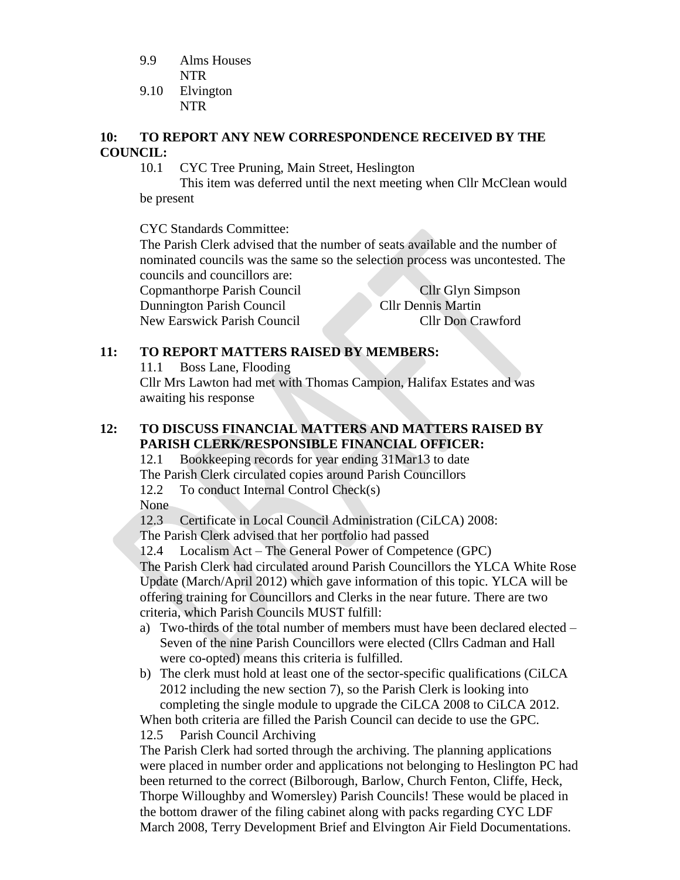- 9.9 Alms Houses NTR
- 9.10 Elvington NTR

#### **10: TO REPORT ANY NEW CORRESPONDENCE RECEIVED BY THE COUNCIL:**

10.1 CYC Tree Pruning, Main Street, Heslington

This item was deferred until the next meeting when Cllr McClean would be present

CYC Standards Committee:

The Parish Clerk advised that the number of seats available and the number of nominated councils was the same so the selection process was uncontested. The councils and councillors are:

Copmanthorpe Parish Council Cllr Glyn Simpson Dunnington Parish Council Cllr Dennis Martin New Earswick Parish Council Cllr Don Crawford

# **11: TO REPORT MATTERS RAISED BY MEMBERS:**

11.1 Boss Lane, Flooding

Cllr Mrs Lawton had met with Thomas Campion, Halifax Estates and was awaiting his response

# **12: TO DISCUSS FINANCIAL MATTERS AND MATTERS RAISED BY PARISH CLERK/RESPONSIBLE FINANCIAL OFFICER:**

12.1 Bookkeeping records for year ending 31Mar13 to date The Parish Clerk circulated copies around Parish Councillors 12.2 To conduct Internal Control Check(s) None

12.3 Certificate in Local Council Administration (CiLCA) 2008:

The Parish Clerk advised that her portfolio had passed

12.4 Localism Act – The General Power of Competence (GPC) The Parish Clerk had circulated around Parish Councillors the YLCA White Rose Update (March/April 2012) which gave information of this topic. YLCA will be offering training for Councillors and Clerks in the near future. There are two criteria, which Parish Councils MUST fulfill:

- a) Two-thirds of the total number of members must have been declared elected Seven of the nine Parish Councillors were elected (Cllrs Cadman and Hall were co-opted) means this criteria is fulfilled.
- b) The clerk must hold at least one of the sector-specific qualifications (CiLCA 2012 including the new section 7), so the Parish Clerk is looking into completing the single module to upgrade the CiLCA 2008 to CiLCA 2012.

When both criteria are filled the Parish Council can decide to use the GPC. 12.5 Parish Council Archiving

The Parish Clerk had sorted through the archiving. The planning applications were placed in number order and applications not belonging to Heslington PC had been returned to the correct (Bilborough, Barlow, Church Fenton, Cliffe, Heck, Thorpe Willoughby and Womersley) Parish Councils! These would be placed in the bottom drawer of the filing cabinet along with packs regarding CYC LDF March 2008, Terry Development Brief and Elvington Air Field Documentations.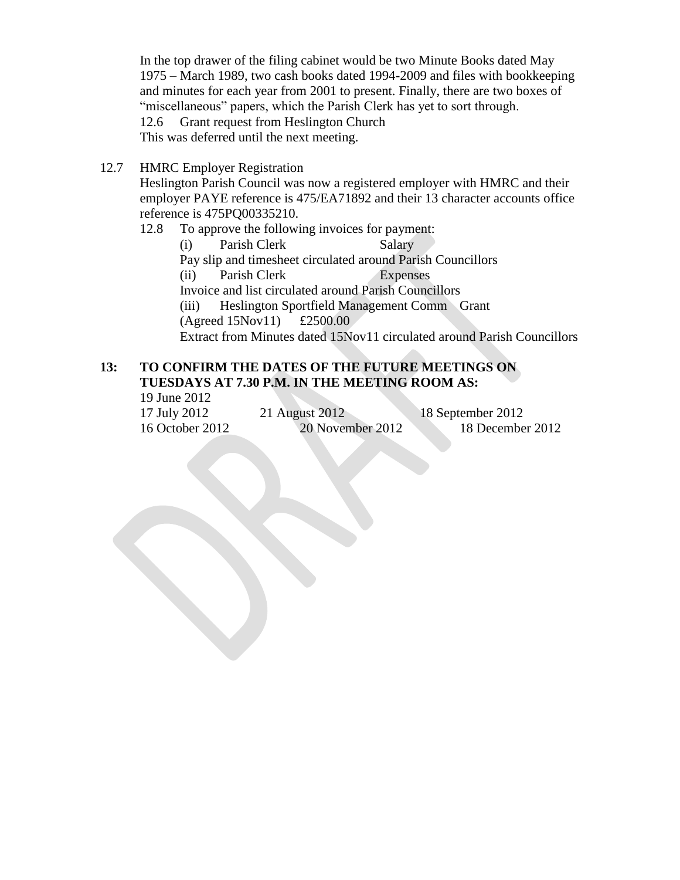In the top drawer of the filing cabinet would be two Minute Books dated May 1975 – March 1989, two cash books dated 1994-2009 and files with bookkeeping and minutes for each year from 2001 to present. Finally, there are two boxes of "miscellaneous" papers, which the Parish Clerk has yet to sort through. 12.6 Grant request from Heslington Church This was deferred until the next meeting.

12.7 HMRC Employer Registration

Heslington Parish Council was now a registered employer with HMRC and their employer PAYE reference is 475/EA71892 and their 13 character accounts office reference is 475PQ00335210.

12.8 To approve the following invoices for payment:

(i) Parish Clerk Salary Pay slip and timesheet circulated around Parish Councillors (ii) Parish Clerk Expenses Invoice and list circulated around Parish Councillors (iii) Heslington Sportfield Management Comm Grant (Agreed 15Nov11) £2500.00 Extract from Minutes dated 15Nov11 circulated around Parish Councillors

#### **13: TO CONFIRM THE DATES OF THE FUTURE MEETINGS ON TUESDAYS AT 7.30 P.M. IN THE MEETING ROOM AS:** 19 June 2012

| $17 \text{ J}$ unc $2012$ |                  |                   |
|---------------------------|------------------|-------------------|
| 17 July 2012              | 21 August 2012   | 18 September 2012 |
| 16 October 2012           | 20 November 2012 | 18 December 2012  |